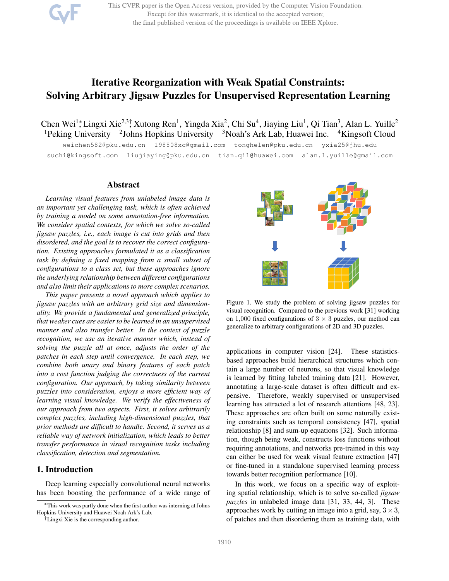This CVPR paper is the Open Access version, provided by the Computer Vision Foundation. Except for this watermark, it is identical to the accepted version; the final published version of the proceedings is available on IEEE Xplore.

# Iterative Reorganization with Weak Spatial Constraints: Solving Arbitrary Jigsaw Puzzles for Unsupervised Representation Learning

Chen Wei<sup>1</sup>; Lingxi Xie<sup>2,3†</sup> Xutong Ren<sup>1</sup>, Yingda Xia<sup>2</sup>, Chi Su<sup>4</sup>, Jiaying Liu<sup>1</sup>, Qi Tian<sup>3</sup>, Alan L. Yuille<sup>2</sup> <sup>1</sup>Peking University <sup>2</sup>Johns Hopkins University <sup>3</sup>Noah's Ark Lab, Huawei Inc. <sup>4</sup>Kingsoft Cloud

weichen582@pku.edu.cn 198808xc@gmail.com tonghelen@pku.edu.cn yxia25@jhu.edu suchi@kingsoft.com liujiaying@pku.edu.cn tian.qi1@huawei.com alan.l.yuille@gmail.com

## Abstract

*Learning visual features from unlabeled image data is an important yet challenging task, which is often achieved by training a model on some annotation-free information. We consider spatial contexts, for which we solve so-called jigsaw puzzles, i.e., each image is cut into grids and then disordered, and the goal is to recover the correct configuration. Existing approaches formulated it as a classification task by defining a fixed mapping from a small subset of configurations to a class set, but these approaches ignore the underlying relationship between different configurations and also limit their applications to more complex scenarios.*

*This paper presents a novel approach which applies to jigsaw puzzles with an arbitrary grid size and dimensionality. We provide a fundamental and generalized principle, that weaker cues are easier to be learned in an unsupervised manner and also transfer better. In the context of puzzle recognition, we use an iterative manner which, instead of solving the puzzle all at once, adjusts the order of the patches in each step until convergence. In each step, we combine both unary and binary features of each patch into a cost function judging the correctness of the current configuration. Our approach, by taking similarity between puzzles into consideration, enjoys a more efficient way of learning visual knowledge. We verify the effectiveness of our approach from two aspects. First, it solves arbitrarily complex puzzles, including high-dimensional puzzles, that prior methods are difficult to handle. Second, it serves as a reliable way of network initialization, which leads to better transfer performance in visual recognition tasks including classification, detection and segmentation.*

# 1. Introduction

Deep learning especially convolutional neural networks has been boosting the performance of a wide range of



Figure 1. We study the problem of solving jigsaw puzzles for visual recognition. Compared to the previous work [31] working on 1,000 fixed configurations of  $3 \times 3$  puzzles, our method can generalize to arbitrary configurations of 2D and 3D puzzles.

applications in computer vision [24]. These statisticsbased approaches build hierarchical structures which contain a large number of neurons, so that visual knowledge is learned by fitting labeled training data [21]. However, annotating a large-scale dataset is often difficult and expensive. Therefore, weakly supervised or unsupervised learning has attracted a lot of research attentions [48, 23]. These approaches are often built on some naturally existing constraints such as temporal consistency [47], spatial relationship [8] and sum-up equations [32]. Such information, though being weak, constructs loss functions without requiring annotations, and networks pre-trained in this way can either be used for weak visual feature extraction [47] or fine-tuned in a standalone supervised learning process towards better recognition performance [10].

In this work, we focus on a specific way of exploiting spatial relationship, which is to solve so-called *jigsaw puzzles* in unlabeled image data [31, 33, 44, 3]. These approaches work by cutting an image into a grid, say,  $3 \times 3$ , of patches and then disordering them as training data, with

<sup>∗</sup>This work was partly done when the first author was interning at Johns Hopkins University and Huawei Noah Ark's Lab.

<sup>†</sup>Lingxi Xie is the corresponding author.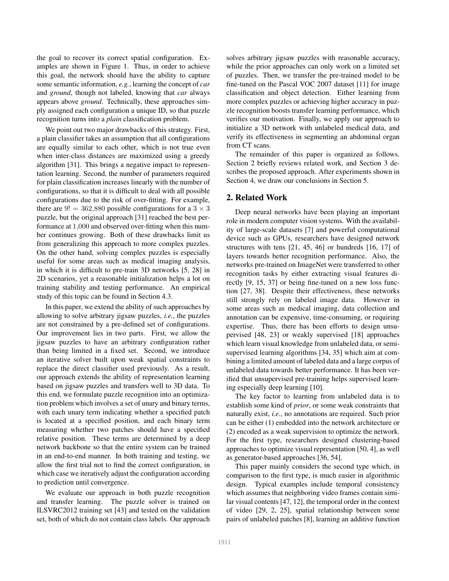the goal to recover its correct spatial configuration. Examples are shown in Figure 1. Thus, in order to achieve this goal, the network should have the ability to capture some semantic information, *e.g.*, learning the concept of *car* and *ground*, though not labeled, knowing that *car* always appears above *ground*. Technically, these approaches simply assigned each configuration a unique ID, so that puzzle recognition turns into a *plain* classification problem.

We point out two major drawbacks of this strategy. First, a plain classifier takes an assumption that all configurations are equally similar to each other, which is not true even when inter-class distances are maximized using a greedy algorithm [31]. This brings a negative impact to representation learning. Second, the number of parameters required for plain classification increases linearly with the number of configurations, so that it is difficult to deal with all possible configurations due to the risk of over-fitting. For example, there are  $9! = 362,880$  possible configurations for a  $3 \times 3$ puzzle, but the original approach [31] reached the best performance at 1,000 and observed over-fitting when this number continues growing. Both of these drawbacks limit us from generalizing this approach to more complex puzzles. On the other hand, solving complex puzzles is especially useful for some areas such as medical imaging analysis, in which it is difficult to pre-train 3D networks [5, 28] in 2D scenarios, yet a reasonable initialization helps a lot on training stability and testing performance. An empirical study of this topic can be found in Section 4.3.

In this paper, we extend the ability of such approaches by allowing to solve arbitrary jigsaw puzzles, *i.e.*, the puzzles are not constrained by a pre-defined set of configurations. Our improvement lies in two parts. First, we allow the jigsaw puzzles to have an arbitrary configuration rather than being limited in a fixed set. Second, we introduce an iterative solver built upon weak spatial constraints to replace the direct classifier used previously. As a result, our approach extends the ability of representation learning based on jigsaw puzzles and transfers well to 3D data. To this end, we formulate puzzle recognition into an optimization problem which involves a set of unary and binary terms, with each unary term indicating whether a specified patch is located at a specified position, and each binary term measuring whether two patches should have a specified relative position. These terms are determined by a deep network backbone so that the entire system can be trained in an end-to-end manner. In both training and testing, we allow the first trial not to find the correct configuration, in which case we iteratively adjust the configuration according to prediction until convergence.

We evaluate our approach in both puzzle recognition and transfer learning. The puzzle solver is trained on ILSVRC2012 training set [43] and tested on the validation set, both of which do not contain class labels. Our approach solves arbitrary jigsaw puzzles with reasonable accuracy, while the prior approaches can only work on a limited set of puzzles. Then, we transfer the pre-trained model to be fine-tuned on the Pascal VOC 2007 dataset [11] for image classification and object detection. Either learning from more complex puzzles or achieving higher accuracy in puzzle recognition boosts transfer learning performance, which verifies our motivation. Finally, we apply our approach to initialize a 3D network with unlabeled medical data, and verify its effectiveness in segmenting an abdominal organ from CT scans.

The remainder of this paper is organized as follows. Section 2 briefly reviews related work, and Section 3 describes the proposed approach. After experiments shown in Section 4, we draw our conclusions in Section 5.

# 2. Related Work

Deep neural networks have been playing an important role in modern computer vision systems. With the availability of large-scale datasets [7] and powerful computational device such as GPUs, researchers have designed network structures with tens [21, 45, 46] or hundreds [16, 17] of layers towards better recognition performance. Also, the networks pre-trained on ImageNet were transferred to other recognition tasks by either extracting visual features directly [9, 15, 37] or being fine-tuned on a new loss function [27, 38]. Despite their effectiveness, these networks still strongly rely on labeled image data. However in some areas such as medical imaging, data collection and annotation can be expensive, time-consuming, or requiring expertise. Thus, there has been efforts to design unsupervised [48, 23] or weakly supervised [18] approaches which learn visual knowledge from unlabeled data, or semisupervised learning algorithms [34, 35] which aim at combining a limited amount of labeled data and a large corpus of unlabeled data towards better performance. It has been verified that unsupervised pre-training helps supervised learning especially deep learning [10].

The key factor to learning from unlabeled data is to establish some kind of *prior*, or some weak constraints that naturally exist, *i.e.*, no annotations are required. Such prior can be either (1) embedded into the network architecture or (2) encoded as a weak supervision to optimize the network. For the first type, researchers designed clustering-based approaches to optimize visual representation [50, 4], as well as generator-based approaches [36, 54].

This paper mainly considers the second type which, in comparison to the first type, is much easier in algorithmic design. Typical examples include temporal consistency which assumes that neighboring video frames contain similar visual contents [47, 12], the temporal order in the context of video [29, 2, 25], spatial relationship between some pairs of unlabeled patches [8], learning an additive function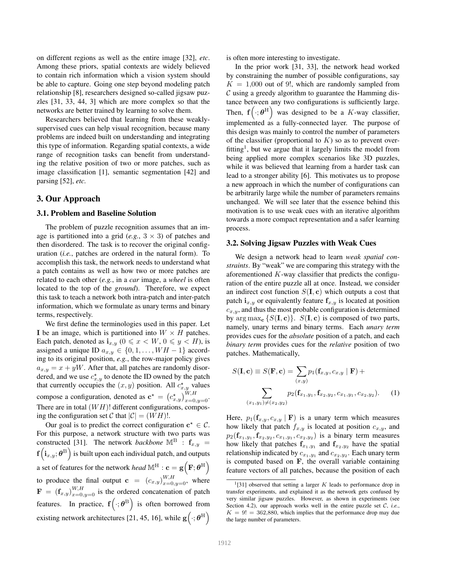on different regions as well as the entire image [32], *etc*. Among these priors, spatial contexts are widely believed to contain rich information which a vision system should be able to capture. Going one step beyond modeling patch relationship [8], researchers designed so-called jigsaw puzzles [31, 33, 44, 3] which are more complex so that the networks are better trained by learning to solve them.

Researchers believed that learning from these weaklysupervised cues can help visual recognition, because many problems are indeed built on understanding and integrating this type of information. Regarding spatial contexts, a wide range of recognition tasks can benefit from understanding the relative position of two or more patches, such as image classification [1], semantic segmentation [42] and parsing [52], *etc.*

## 3. Our Approach

## 3.1. Problem and Baseline Solution

The problem of puzzle recognition assumes that an image is partitioned into a grid (*e.g.*,  $3 \times 3$ ) of patches and then disordered. The task is to recover the original configuration (*i.e.*, patches are ordered in the natural form). To accomplish this task, the network needs to understand what a patch contains as well as how two or more patches are related to each other (*e.g.*, in a *car* image, a *wheel* is often located to the top of the *ground*). Therefore, we expect this task to teach a network both intra-patch and inter-patch information, which we formulate as unary terms and binary terms, respectively.

We first define the terminologies used in this paper. Let I be an image, which is partitioned into  $W \times H$  patches. Each patch, denoted as  $\mathbf{i}_{x,y}$  ( $0 \leq x \leq W$ ,  $0 \leq y \leq H$ ), is assigned a unique ID  $a_{x,y} \in \{0, 1, \ldots, WH - 1\}$  according to its original position, *e.g.*, the row-major policy gives  $a_{x,y} = x + yW$ . After that, all patches are randomly disordered, and we use  $c_{x,y}^{\star}$  to denote the ID owned by the patch that currently occupies the  $(x, y)$  position. All  $c_{x,y}^{\star}$  values compose a configuration, denoted as  $\mathbf{c}^* = (c_{x,y}^*)_{x=0,y=0}^{W,H}$ . There are in total  $(WH)$ ! different configurations, composing the configuration set C that  $|C| = (WH)!$ .

Our goal is to predict the correct configuration  $c^* \in C$ . For this purpose, a network structure with two parts was constructed [31]. The network *backbone*  $\mathbb{M}^{\mathcal{B}}$  :  $\mathbf{f}_{x,y}$  =  $\mathrm{f}\left(\mathbf{i}_{x,y};\theta^{\mathrm{B}}\right)$  is built upon each individual patch, and outputs a set of features for the network *head*  $\mathbb{M}^{\mathrm{H}}: \mathbf{c} = \mathbf{g}\!\left(\mathbf{F}; \boldsymbol{\theta}^{\mathrm{H}}\right)$ to produce the final output  $\mathbf{c} = (c_{x,y})_{x=0,y=0}^{W,H}$ , where  $\mathbf{F} = (\mathbf{f}_{x,y})_{x=0,y=0}^{W,H}$  is the ordered concatenation of patch features. In practice,  $f(\cdot; \theta^{\text{B}})$  is often borrowed from existing network architectures [21, 45, 16], while  $g\left(\cdot;\theta^{\mathrm{H}}\right)$  is often more interesting to investigate.

In the prior work [31, 33], the network head worked by constraining the number of possible configurations, say  $K = 1,000$  out of 9!, which are randomly sampled from  $\mathcal C$  using a greedy algorithm to guarantee the Hamming distance between any two configurations is sufficiently large. Then,  $\mathbf{f}(\cdot; \boldsymbol{\theta}^{\text{H}})$  was designed to be a K-way classifier, implemented as a fully-connected layer. The purpose of this design was mainly to control the number of parameters of the classifier (proportional to  $K$ ) so as to prevent overfitting<sup>1</sup>, but we argue that it largely limits the model from being applied more complex scenarios like 3D puzzles, while it was believed that learning from a harder task can lead to a stronger ability [6]. This motivates us to propose a new approach in which the number of configurations can be arbitrarily large while the number of parameters remains unchanged. We will see later that the essence behind this motivation is to use weak cues with an iterative algorithm towards a more compact representation and a safer learning process.

## 3.2. Solving Jigsaw Puzzles with Weak Cues

We design a network head to learn *weak spatial constraints*. By "weak" we are comparing this strategy with the aforementioned  $K$ -way classifier that predicts the configuration of the entire puzzle all at once. Instead, we consider an indirect cost function  $S(I, c)$  which outputs a cost that patch  $i_{x,y}$  or equivalently feature  $f_{x,y}$  is located at position  $c_{x,y}$ , and thus the most probable configuration is determined by arg max<sub>c</sub>  $\{S(I, c)\}\$ .  $S(I, c)$  is composed of two parts, namely, unary terms and binary terms. Each *unary term* provides cues for the *absolute* position of a patch, and each *binary term* provides cues for the *relative* position of two patches. Mathematically,

$$
S(\mathbf{I}, \mathbf{c}) \equiv S(\mathbf{F}, \mathbf{c}) = \sum_{(x, y)} p_1(\mathbf{f}_{x, y}, c_{x, y} | \mathbf{F}) + \sum_{(x_1, y_1) \neq (x_2, y_2)} p_2(\mathbf{f}_{x_1, y_1}, \mathbf{f}_{x_2, y_2}, c_{x_1, y_1}, c_{x_2, y_2}).
$$
 (1)

Here,  $p_1(f_{x,y}, c_{x,y} | \mathbf{F})$  is a unary term which measures how likely that patch  $f_{x,y}$  is located at position  $c_{x,y}$ , and  $p_2(f_{x_1,y_1}, f_{x_2,y_2}, c_{x_1,y_1}, c_{x_2,y_2})$  is a binary term measures how likely that patches  $f_{x_1,y_1}$  and  $f_{x_2,y_2}$  have the spatial relationship indicated by  $c_{x_1,y_1}$  and  $c_{x_2,y_2}$ . Each unary term is computed based on  $F$ , the overall variable containing feature vectors of all patches, because the position of each

<sup>&</sup>lt;sup>1</sup>[31] observed that setting a larger K leads to performance drop in transfer experiments, and explained it as the network gets confused by very similar jigsaw puzzles. However, as shown in experiments (see Section 4.2), our approach works well in the entire puzzle set C, *i.e.*,  $K = 9! = 362,880$ , which implies that the performance drop may due the large number of parameters.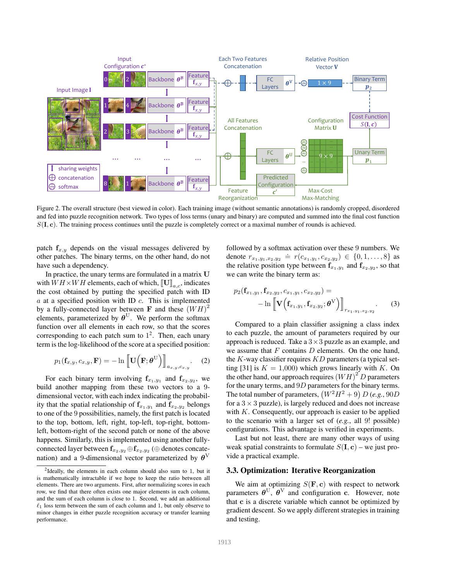

Figure 2. The overall structure (best viewed in color). Each training image (without semantic annotations) is randomly cropped, disordered and fed into puzzle recognition network. Two types of loss terms (unary and binary) are computed and summed into the final cost function  $S(I, c)$ . The training process continues until the puzzle is completely correct or a maximal number of rounds is achieved.

patch  $f_{x,y}$  depends on the visual messages delivered by other patches. The binary terms, on the other hand, do not have such a dependency.

In practice, the unary terms are formulated in a matrix U with  $WH \times WH$  elements, each of which,  $\llbracket \mathbf{U} \rrbracket_{a,c}$ , indicates the cost obtained by putting the specified patch with ID  $a$  at a specified position with ID  $c$ . This is implemented by a fully-connected layer between **F** and these  $(WH)^2$ elements, parameterized by  $\boldsymbol{\theta}^{\text{U}}$ . We perform the softmax function over all elements in each row, so that the scores corresponding to each patch sum to  $1^2$ . Then, each unary term is the log-likelihood of the score at a specified position:

$$
p_1(\mathbf{f}_{x,y}, c_{x,y}, \mathbf{F}) = -\ln \left[ \mathbf{U}\left(\mathbf{F}; \boldsymbol{\theta}^{\mathrm{U}}\right) \right]_{a_{x,y}, c_{x,y}}.
$$
 (2)

For each binary term involving  $f_{x_1,y_1}$  and  $f_{x_2,y_2}$ , we build another mapping from these two vectors to a 9 dimensional vector, with each index indicating the probability that the spatial relationship of  $f_{x_1,y_1}$  and  $f_{x_2,y_2}$  belongs to one of the 9 possibilities, namely, the first patch is located to the top, bottom, left, right, top-left, top-right, bottomleft, bottom-right of the second patch or none of the above happens. Similarly, this is implemented using another fullyconnected layer between  $\mathbf{f}_{x_2,y_2} \oplus \mathbf{f}_{x_2,y_2}$  ( $\oplus$  denotes concatenation) and a 9-dimensional vector parameterized by  $\boldsymbol{\theta}^{\mathrm{V}}$ 

followed by a softmax activation over these 9 numbers. We denote  $r_{x_1,y_1,x_2,y_2} \doteq r(c_{x_1,y_1},c_{x_2,y_2}) \in \{0,1,\ldots,8\}$  as the relative position type between  $f_{x_1,y_1}$  and  $f_{x_2,y_2}$ , so that we can write the binary term as:

$$
p_2(\mathbf{f}_{x_1,y_1}, \mathbf{f}_{x_2,y_2}, c_{x_1,y_1}, c_{x_2,y_2}) = -\ln \left[ \mathbf{V} \left( \mathbf{f}_{x_1,y_1}, \mathbf{f}_{x_2,y_2}; \boldsymbol{\theta}^{\text{V}} \right) \right]_{r_{x_1,y_1,x_2,y_2}}.
$$
 (3)

Compared to a plain classifier assigning a class index to each puzzle, the amount of parameters required by our approach is reduced. Take a  $3 \times 3$  puzzle as an example, and we assume that  $F$  contains  $D$  elements. On the one hand, the  $K$ -way classifier requires  $KD$  parameters (a typical setting [31] is  $K = 1,000$ ) which grows linearly with K. On the other hand, our approach requires  $(WH)^2 D$  parameters for the unary terms, and 9D parameters for the binary terms. The total number of parameters,  $(W^2H^2 + 9) D(e.g., 90D)$ for a  $3 \times 3$  puzzle), is largely reduced and does not increase with  $K$ . Consequently, our approach is easier to be applied to the scenario with a larger set of (*e.g.*, all 9! possible) configurations. This advantage is verified in experiments.

Last but not least, there are many other ways of using weak spatial constraints to formulate  $S(I, c)$  – we just provide a practical example.

#### 3.3. Optimization: Iterative Reorganization

We aim at optimizing  $S(\mathbf{F}, \mathbf{c})$  with respect to network parameters  $\boldsymbol{\theta}^{\text{U}}$ ,  $\boldsymbol{\theta}^{\text{V}}$  and configuration c. However, note that c is a discrete variable which cannot be optimized by gradient descent. So we apply different strategies in training and testing.

<sup>&</sup>lt;sup>2</sup>Ideally, the elements in each column should also sum to 1, but it is mathematically intractable if we hope to keep the ratio between all elements. There are two arguments. First, after normalizing scores in each row, we find that there often exists one major elements in each column, and the sum of each column is close to 1. Second, we add an additional  $\ell_1$  loss term between the sum of each column and 1, but only observe to minor changes in either puzzle recognition accuracy or transfer learning performance.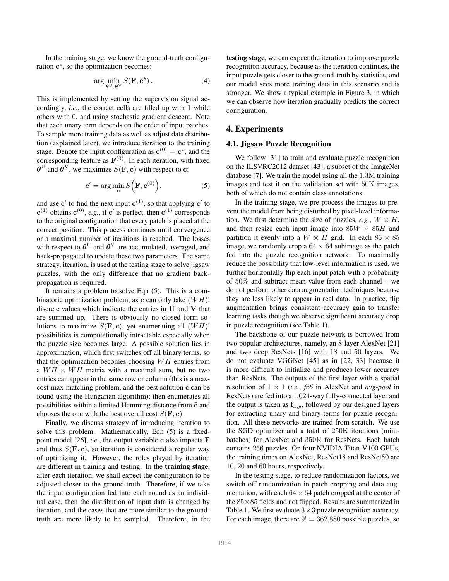In the training stage, we know the ground-truth configuration  $c^*$ , so the optimization becomes:

$$
\arg\min_{\boldsymbol{\theta}^{\text{U}},\boldsymbol{\theta}^{\text{V}}} S(\mathbf{F},\mathbf{c}^{\star}).
$$
\n(4)

This is implemented by setting the supervision signal accordingly, *i.e.*, the correct cells are filled up with 1 while others with 0, and using stochastic gradient descent. Note that each unary term depends on the order of input patches. To sample more training data as well as adjust data distribution (explained later), we introduce iteration to the training stage. Denote the input configuration as  $\mathbf{c}^{(0)} = \mathbf{c}^*$ , and the corresponding feature as  $F^{(0)}$ . In each iteration, with fixed  $\theta^{\text{U}}$  and  $\theta^{\text{V}}$ , we maximize  $S(\text{F}, \text{c})$  with respect to c:

$$
\mathbf{c}' = \arg\min_{\mathbf{c}} S\Big(\mathbf{F}, \mathbf{c}^{(0)}\Big),\tag{5}
$$

and use  $\mathbf{c}'$  to find the next input  $\mathbf{c}^{(1)}$ , so that applying  $\mathbf{c}'$  to  ${\bf c}^{(1)}$  obtains  ${\bf c}^{(0)}$ , *e.g.*, if  ${\bf c}'$  is perfect, then  ${\bf c}^{(1)}$  corresponds to the original configuration that every patch is placed at the correct position. This process continues until convergence or a maximal number of iterations is reached. The losses with respect to  $\boldsymbol{\theta}^{\mathrm{U}}$  and  $\boldsymbol{\theta}^{\mathrm{V}}$  are accumulated, averaged, and back-propagated to update these two parameters. The same strategy, iteration, is used at the testing stage to solve jigsaw puzzles, with the only difference that no gradient backpropagation is required.

It remains a problem to solve Eqn (5). This is a combinatoric optimization problem, as c can only take  $(WH)$ ! discrete values which indicate the entries in U and V that are summed up. There is obviously no closed form solutions to maximize  $S(\mathbf{F}, \mathbf{c})$ , yet enumerating all  $(WH)$ ! possibilities is computationally intractable especially when the puzzle size becomes large. A possible solution lies in approximation, which first switches off all binary terms, so that the optimization becomes choosing  $WH$  entries from a  $WH \times WH$  matrix with a maximal sum, but no two entries can appear in the same row or column (this is a maxcost-max-matching problem, and the best solution  $\tilde{c}$  can be found using the Hungarian algorithm); then enumerates all possibilities within a limited Hamming distance from  $\tilde{c}$  and chooses the one with the best overall cost  $S(\mathbf{F}, \mathbf{c})$ .

Finally, we discuss strategy of introducing iteration to solve this problem. Mathematically, Eqn (5) is a fixedpoint model [26], *i.e.*, the output variable c also impacts F and thus  $S(\mathbf{F}, \mathbf{c})$ , so iteration is considered a regular way of optimizing it. However, the roles played by iteration are different in training and testing. In the training stage, after each iteration, we shall expect the configuration to be adjusted closer to the ground-truth. Therefore, if we take the input configuration fed into each round as an individual case, then the distribution of input data is changed by iteration, and the cases that are more similar to the groundtruth are more likely to be sampled. Therefore, in the testing stage, we can expect the iteration to improve puzzle recognition accuracy, because as the iteration continues, the input puzzle gets closer to the ground-truth by statistics, and our model sees more training data in this scenario and is stronger. We show a typical example in Figure 3, in which we can observe how iteration gradually predicts the correct configuration.

# 4. Experiments

## 4.1. Jigsaw Puzzle Recognition

We follow [31] to train and evaluate puzzle recognition on the ILSVRC2012 dataset [43], a subset of the ImageNet database [7]. We train the model using all the 1.3M training images and test it on the validation set with 50K images, both of which do not contain class annotations.

In the training stage, we pre-process the images to prevent the model from being disturbed by pixel-level information. We first determine the size of puzzles,  $e.g., W \times H$ , and then resize each input image into  $85W \times 85H$  and partition it evenly into a  $W \times H$  grid. In each  $85 \times 85$ image, we randomly crop a  $64 \times 64$  subimage as the patch fed into the puzzle recognition network. To maximally reduce the possibility that low-level information is used, we further horizontally flip each input patch with a probability of 50% and subtract mean value from each channel – we do not perform other data augmentation techniques because they are less likely to appear in real data. In practice, flip augmentation brings consistent accuracy gain to transfer learning tasks though we observe significant accuracy drop in puzzle recognition (see Table 1).

The backbone of our puzzle network is borrowed from two popular architectures, namely, an 8-layer AlexNet [21] and two deep ResNets [16] with 18 and 50 layers. We do not evaluate VGGNet [45] as in [22, 33] because it is more difficult to initialize and produces lower accuracy than ResNets. The outputs of the first layer with a spatial resolution of  $1 \times 1$  (*i.e.*, *fc6* in AlexNet and *avg-pool* in ResNets) are fed into a 1,024-way fully-connected layer and the output is taken as  $f_{x,y}$ , followed by our designed layers for extracting unary and binary terms for puzzle recognition. All these networks are trained from scratch. We use the SGD optimizer and a total of 250K iterations (minibatches) for AlexNet and 350K for ResNets. Each batch contains 256 puzzles. On four NVIDIA Titan-V100 GPUs, the training times on AlexNet, ResNet18 and ResNet50 are 10, 20 and 60 hours, respectively.

In the testing stage, to reduce randomization factors, we switch off randomization in patch cropping and data augmentation, with each  $64 \times 64$  patch cropped at the center of the  $85 \times 85$  fields and not flipped. Results are summarized in Table 1. We first evaluate  $3 \times 3$  puzzle recognition accuracy. For each image, there are  $9! = 362,880$  possible puzzles, so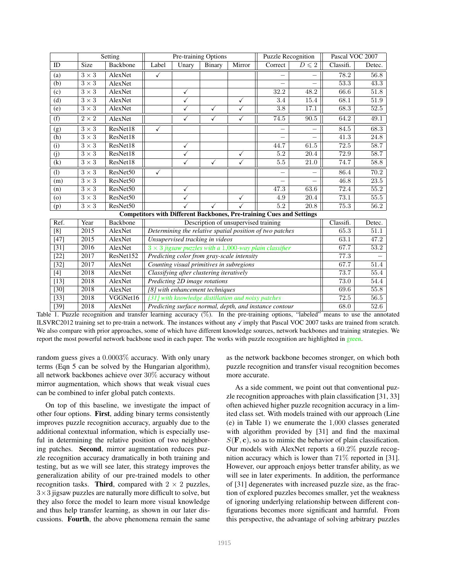|                                                                             | Setting      |                      | Pre-training Options |              |              | <b>Puzzle Recognition</b> |         | Pascal VOC 2007          |           |        |
|-----------------------------------------------------------------------------|--------------|----------------------|----------------------|--------------|--------------|---------------------------|---------|--------------------------|-----------|--------|
| ID                                                                          | <b>Size</b>  | Backbone             | Label                | Unary        | Binary       | Mirror                    | Correct | $D\leqslant 2$           | Classifi. | Detec. |
| (a)                                                                         | $3 \times 3$ | AlexNet              | √                    |              |              |                           |         |                          | 78.2      | 56.8   |
| (b)                                                                         | $3 \times 3$ | AlexNet              |                      |              |              |                           |         | $\overline{\phantom{0}}$ | 53.3      | 43.3   |
| (c)                                                                         | $3 \times 3$ | AlexNet              |                      | ✓            |              |                           | 32.2    | 48.2                     | 66.6      | 51.8   |
| (d)                                                                         | $3 \times 3$ | AlexNet              |                      | $\checkmark$ |              | $\checkmark$              | 3.4     | 15.4                     | 68.1      | 51.9   |
| (e)                                                                         | $3 \times 3$ | AlexNet              |                      |              | √            | √                         | 3.8     | 17.1                     | 68.3      | 52.5   |
| (f)                                                                         | $2\times 2$  | AlexNet              |                      | ✓            | $\checkmark$ | $\checkmark$              | 74.5    | 90.5                     | 64.2      | 49.1   |
| (g)                                                                         | $3 \times 3$ | ResNet18             |                      |              |              |                           |         | $\overline{\phantom{0}}$ | 84.5      | 68.3   |
| (h)                                                                         | $3 \times 3$ | ResNet18             |                      |              |              |                           | -       | $\overline{\phantom{0}}$ | 41.3      | 24.8   |
| (i)                                                                         | $3 \times 3$ | ResNet18             |                      | ✓            |              |                           | 44.7    | 61.5                     | 72.5      | 58.7   |
| (j)                                                                         | $3 \times 3$ | ResNet18             |                      | $\checkmark$ |              | $\checkmark$              | 5.2     | 20.4                     | 72.9      | 58.7   |
| (k)                                                                         | $3 \times 3$ | ResNet18             |                      | ✓            | ✓            | $\checkmark$              | 5.5     | 21.0                     | 74.7      | 58.8   |
| (1)                                                                         | $3 \times 3$ | ResNet50             |                      |              |              |                           |         |                          | 86.4      | 70.2   |
| (m)                                                                         | $3 \times 3$ | ResNet <sub>50</sub> |                      |              |              |                           |         | -                        | 46.8      | 23.5   |
| (n)                                                                         | $3 \times 3$ | ResNet50             |                      | $\checkmark$ |              |                           | 47.3    | 63.6                     | 72.4      | 55.2   |
| (0)                                                                         | $3 \times 3$ | ResNet50             |                      | ✓            |              | $\checkmark$              | 4.9     | 20.4                     | 73.1      | 55.5   |
| (p)                                                                         | $3 \times 3$ | ResNet50             |                      |              |              |                           | 5.2     | 20.8                     | 75.3      | 56.2   |
| <b>Competitors with Different Backbones, Pre-training Cues and Settings</b> |              |                      |                      |              |              |                           |         |                          |           |        |

| Ref.               | Year | Backbone  | Description of unsupervised training                          |      | Detec. |  |  |
|--------------------|------|-----------|---------------------------------------------------------------|------|--------|--|--|
| [8]                | 2015 | AlexNet   | Determining the relative spatial position of two patches      |      | 51.1   |  |  |
| [47]               | 2015 | AlexNet   | Unsupervised tracking in videos                               | 63.1 | 47.2   |  |  |
| $[31]$             | 2016 | AlexNet   | $3 \times 3$ jigsaw puzzles with a 1,000-way plain classifier | 67.7 | 53.2   |  |  |
| $\lceil 22 \rceil$ | 2017 | ResNet152 | Predicting color from gray-scale intensity                    | 77.3 |        |  |  |
| $[32]$             | 2017 | AlexNet   | Counting visual primitives in subregions                      | 67.7 | 51.4   |  |  |
| [4]                | 2018 | AlexNet   | Classifying after clustering iteratively                      | 73.7 | 55.4   |  |  |
| $\lceil 13 \rceil$ | 2018 | AlexNet   | Predicting 2D image rotations                                 | 73.0 | 54.4   |  |  |
| [30]               | 2018 | AlexNet   | [8] with enhancement techniques                               | 69.6 | 55.8   |  |  |
| $[33]$             | 2018 | VGGNet16  | [31] with knowledge distillation and noisy patches            | 72.5 | 56.5   |  |  |
| [39]               | 2018 | AlexNet   | Predicting surface normal, depth, and instance contour        | 68.0 | 52.6   |  |  |

Table 1. Puzzle recognition and transfer learning accuracy (%). In the pre-training options, "labeled" means to use the annotated ILSVRC2012 training set to pre-train a network. The instances without any  $\checkmark$  imply that Pascal VOC 2007 tasks are trained from scratch. We also compare with prior approaches, some of which have different knowledge sources, network backbones and training strategies. We report the most powerful network backbone used in each paper. The works with puzzle recognition are highlighted in green.

random guess gives a 0.0003% accuracy. With only unary terms (Eqn 5 can be solved by the Hungarian algorithm), all network backbones achieve over 30% accuracy without mirror augmentation, which shows that weak visual cues can be combined to infer global patch contexts.

On top of this baseline, we investigate the impact of other four options. First, adding binary terms consistently improves puzzle recognition accuracy, arguably due to the additional contextual information, which is especially useful in determining the relative position of two neighboring patches. Second, mirror augmentation reduces puzzle recognition accuracy dramatically in both training and testing, but as we will see later, this strategy improves the generalization ability of our pre-trained models to other recognition tasks. Third, compared with  $2 \times 2$  puzzles,  $3\times3$  jigsaw puzzles are naturally more difficult to solve, but they also force the model to learn more visual knowledge and thus help transfer learning, as shown in our later discussions. Fourth, the above phenomena remain the same

as the network backbone becomes stronger, on which both puzzle recognition and transfer visual recognition becomes more accurate.

As a side comment, we point out that conventional puzzle recognition approaches with plain classification [31, 33] often achieved higher puzzle recognition accuracy in a limited class set. With models trained with our approach (Line (e) in Table 1) we enumerate the 1,000 classes generated with algorithm provided by [31] and find the maximal  $S(\mathbf{F}, \mathbf{c})$ , so as to mimic the behavior of plain classification. Our models with AlexNet reports a 60.2% puzzle recognition accuracy which is lower than 71% reported in [31]. However, our approach enjoys better transfer ability, as we will see in later experiments. In addition, the performance of [31] degenerates with increased puzzle size, as the fraction of explored puzzles becomes smaller, yet the weakness of ignoring underlying relationship between different configurations becomes more significant and harmful. From this perspective, the advantage of solving arbitrary puzzles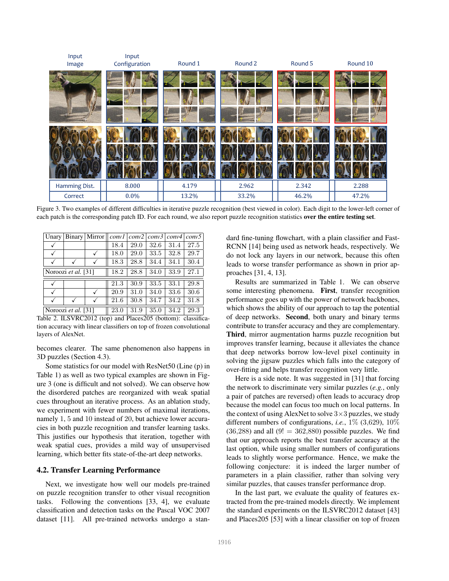

Figure 3. Two examples of different difficulties in iterative puzzle recognition (best viewed in color). Each digit to the lower-left corner of each patch is the corresponding patch ID. For each round, we also report puzzle recognition statistics over the entire testing set.

| Unary               |                     | Binary   Mirror |      | conv1   conv2 |      | conv3 conv4 | conv5 |
|---------------------|---------------------|-----------------|------|---------------|------|-------------|-------|
|                     |                     |                 | 18.4 | 29.0          | 32.6 | 31.4        | 27.5  |
|                     |                     |                 | 18.0 | 29.0          | 33.5 | 32.8        | 29.7  |
| √                   |                     | √               | 18.3 | 28.8          | 34.4 | 34.1        | 30.4  |
| Noroozi et al. [31] |                     |                 | 18.2 | 28.8          | 34.0 | 33.9        | 27.1  |
|                     |                     |                 | 21.3 | 30.9          | 33.5 | 33.1        | 29.8  |
| ✓                   |                     | $\checkmark$    | 20.9 | 31.0          | 34.0 | 33.6        | 30.6  |
|                     |                     |                 | 21.6 | 30.8          | 34.7 | 34.2        | 31.8  |
|                     | Noroozi et al. [31] |                 | 23.0 | 31.9          | 35.0 | 34.2        | 29.3  |

Table 2. ILSVRC2012 (top) and Places205 (bottom): classification accuracy with linear classifiers on top of frozen convolutional layers of AlexNet.

becomes clearer. The same phenomenon also happens in 3D puzzles (Section 4.3).

Some statistics for our model with ResNet50 (Line (p) in Table 1) as well as two typical examples are shown in Figure 3 (one is difficult and not solved). We can observe how the disordered patches are reorganized with weak spatial cues throughout an iterative process. As an ablation study, we experiment with fewer numbers of maximal iterations, namely 1, 5 and 10 instead of 20, but achieve lower accuracies in both puzzle recognition and transfer learning tasks. This justifies our hypothesis that iteration, together with weak spatial cues, provides a mild way of unsupervised learning, which better fits state-of-the-art deep networks.

#### 4.2. Transfer Learning Performance

Next, we investigate how well our models pre-trained on puzzle recognition transfer to other visual recognition tasks. Following the conventions [33, 4], we evaluate classification and detection tasks on the Pascal VOC 2007 dataset [11]. All pre-trained networks undergo a standard fine-tuning flowchart, with a plain classifier and Fast-RCNN [14] being used as network heads, respectively. We do not lock any layers in our network, because this often leads to worse transfer performance as shown in prior approaches [31, 4, 13].

Results are summarized in Table 1. We can observe some interesting phenomena. First, transfer recognition performance goes up with the power of network backbones, which shows the ability of our approach to tap the potential of deep networks. Second, both unary and binary terms contribute to transfer accuracy and they are complementary. Third, mirror augmentation harms puzzle recognition but improves transfer learning, because it alleviates the chance that deep networks borrow low-level pixel continuity in solving the jigsaw puzzles which falls into the category of over-fitting and helps transfer recognition very little.

Here is a side note. It was suggested in [31] that forcing the network to discriminate very similar puzzles (*e.g.*, only a pair of patches are reversed) often leads to accuracy drop because the model can focus too much on local patterns. In the context of using AlexNet to solve  $3\times3$  puzzles, we study different numbers of configurations, *i.e.*, 1% (3,629), 10%  $(36,288)$  and all  $(9! = 362,880)$  possible puzzles. We find that our approach reports the best transfer accuracy at the last option, while using smaller numbers of configurations leads to slightly worse performance. Hence, we make the following conjecture: it is indeed the larger number of parameters in a plain classifier, rather than solving very similar puzzles, that causes transfer performance drop.

In the last part, we evaluate the quality of features extracted from the pre-trained models directly. We implement the standard experiments on the ILSVRC2012 dataset [43] and Places205 [53] with a linear classifier on top of frozen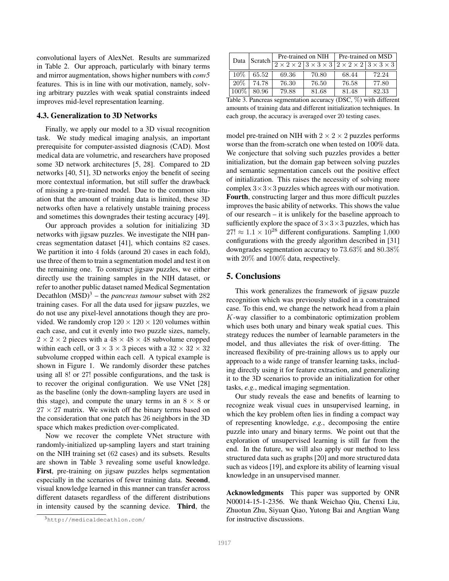convolutional layers of AlexNet. Results are summarized in Table 2. Our approach, particularly with binary terms and mirror augmentation, shows higher numbers with *conv5* features. This is in line with our motivation, namely, solving arbitrary puzzles with weak spatial constraints indeed improves mid-level representation learning.

## 4.3. Generalization to 3D Networks

Finally, we apply our model to a 3D visual recognition task. We study medical imaging analysis, an important prerequisite for computer-assisted diagnosis (CAD). Most medical data are volumetric, and researchers have proposed some 3D network architectures [5, 28]. Compared to 2D networks [40, 51], 3D networks enjoy the benefit of seeing more contextual information, but still suffer the drawback of missing a pre-trained model. Due to the common situation that the amount of training data is limited, these 3D networks often have a relatively unstable training process and sometimes this downgrades their testing accuracy [49].

Our approach provides a solution for initializing 3D networks with jigsaw puzzles. We investigate the NIH pancreas segmentation dataset [41], which contains 82 cases. We partition it into 4 folds (around 20 cases in each fold), use three of them to train a segmentation model and test it on the remaining one. To construct jigsaw puzzles, we either directly use the training samples in the NIH dataset, or refer to another public dataset named Medical Segmentation Decathlon  $(MSD)^3$  – the *pancreas tumour* subset with 282 training cases. For all the data used for jigsaw puzzles, we do not use any pixel-level annotations though they are provided. We randomly crop  $120 \times 120 \times 120$  volumes within each case, and cut it evenly into two puzzle sizes, namely,  $2 \times 2 \times 2$  pieces with a  $48 \times 48 \times 48$  subvolume cropped within each cell, or  $3 \times 3 \times 3$  pieces with a  $32 \times 32 \times 32$ subvolume cropped within each cell. A typical example is shown in Figure 1. We randomly disorder these patches using all 8! or 27! possible configurations, and the task is to recover the original configuration. We use VNet [28] as the baseline (only the down-sampling layers are used in this stage), and compute the unary terms in an  $8 \times 8$  or  $27 \times 27$  matrix. We switch off the binary terms based on the consideration that one patch has 26 neighbors in the 3D space which makes prediction over-complicated.

Now we recover the complete VNet structure with randomly-initialized up-sampling layers and start training on the NIH training set (62 cases) and its subsets. Results are shown in Table 3 revealing some useful knowledge. First, pre-training on jigsaw puzzles helps segmentation especially in the scenarios of fewer training data. Second, visual knowledge learned in this manner can transfer across different datasets regardless of the different distributions in intensity caused by the scanning device. Third, the

| Data                                                            | $\vert$ Scratch $\vert$ |       | Pre-trained on NIH | Pre-trained on MSD                                                                          |       |  |  |
|-----------------------------------------------------------------|-------------------------|-------|--------------------|---------------------------------------------------------------------------------------------|-------|--|--|
|                                                                 |                         |       |                    | $2 \times 2 \times 2$ 3 $\times$ 3 $\times$ 3 $2 \times 2$ $\times$ 2 $3 \times 3 \times 3$ |       |  |  |
| 10%                                                             | 65.52                   | 69.36 | 70.80              | 68.44                                                                                       | 72.24 |  |  |
| 20%                                                             | 74.78                   | 76.30 | 76.50              | 76.58                                                                                       | 77.80 |  |  |
| $100\%$                                                         | 80.96                   | 79.88 | 81.68              | 81.48                                                                                       | 82.33 |  |  |
| Table 3. Pancreas segmentation accuracy (DSC, %) with different |                         |       |                    |                                                                                             |       |  |  |

amounts of training data and different initialization techniques. In each group, the accuracy is averaged over 20 testing cases.

model pre-trained on NIH with  $2 \times 2 \times 2$  puzzles performs worse than the from-scratch one when tested on 100% data. We conjecture that solving such puzzles provides a better initialization, but the domain gap between solving puzzles and semantic segmentation cancels out the positive effect of initialization. This raises the necessity of solving more complex  $3 \times 3 \times 3$  puzzles which agrees with our motivation. Fourth, constructing larger and thus more difficult puzzles improves the basic ability of networks. This shows the value of our research – it is unlikely for the baseline approach to sufficiently explore the space of  $3 \times 3 \times 3$  puzzles, which has  $27! \approx 1.1 \times 10^{28}$  different configurations. Sampling 1,000 configurations with the greedy algorithm described in [31] downgrades segmentation accuracy to 73.63% and 80.38% with 20% and 100% data, respectively.

## 5. Conclusions

This work generalizes the framework of jigsaw puzzle recognition which was previously studied in a constrained case. To this end, we change the network head from a plain K-way classifier to a combinatoric optimization problem which uses both unary and binary weak spatial cues. This strategy reduces the number of learnable parameters in the model, and thus alleviates the risk of over-fitting. The increased flexibility of pre-training allows us to apply our approach to a wide range of transfer learning tasks, including directly using it for feature extraction, and generalizing it to the 3D scenarios to provide an initialization for other tasks, *e.g.*, medical imaging segmentation.

Our study reveals the ease and benefits of learning to recognize weak visual cues in unsupervised learning, in which the key problem often lies in finding a compact way of representing knowledge, *e.g.*, decomposing the entire puzzle into unary and binary terms. We point out that the exploration of unsupervised learning is still far from the end. In the future, we will also apply our method to less structured data such as graphs [20] and more structured data such as videos [19], and explore its ability of learning visual knowledge in an unsupervised manner.

Acknowledgments This paper was supported by ONR N00014-15-1-2356. We thank Weichao Qiu, Chenxi Liu, Zhuotun Zhu, Siyuan Qiao, Yutong Bai and Angtian Wang for instructive discussions.

<sup>3</sup>http://medicaldecathlon.com/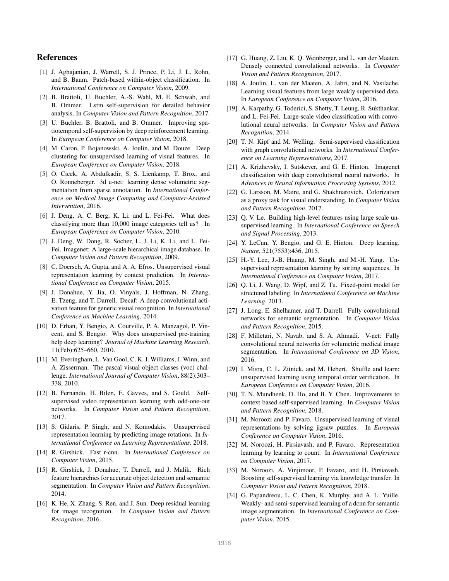## References

- [1] J. Aghajanian, J. Warrell, S. J. Prince, P. Li, J. L. Rohn, and B. Baum. Patch-based within-object classification. In *International Conference on Computer Vision*, 2009.
- [2] B. Brattoli, U. Buchler, A.-S. Wahl, M. E. Schwab, and B. Ommer. Lstm self-supervision for detailed behavior analysis. In *Computer Vision and Pattern Recognition*, 2017.
- [3] U. Buchler, B. Brattoli, and B. Ommer. Improving spatiotemporal self-supervision by deep reinforcement learning. In *European Conference on Computer Vision*, 2018.
- [4] M. Caron, P. Bojanowski, A. Joulin, and M. Douze. Deep clustering for unsupervised learning of visual features. In *European Conference on Computer Vision*, 2018.
- [5] O. Cicek, A. Abdulkadir, S. S. Lienkamp, T. Brox, and O. Ronneberger. 3d u-net: learning dense volumetric segmentation from sparse annotation. In *International Conference on Medical Image Computing and Computer-Assisted Intervention*, 2016.
- [6] J. Deng, A. C. Berg, K. Li, and L. Fei-Fei. What does classifying more than 10,000 image categories tell us? In *European Conference on Computer Vision*, 2010.
- [7] J. Deng, W. Dong, R. Socher, L. J. Li, K. Li, and L. Fei-Fei. Imagenet: A large-scale hierarchical image database. In *Computer Vision and Pattern Recognition*, 2009.
- [8] C. Doersch, A. Gupta, and A. A. Efros. Unsupervised visual representation learning by context prediction. In *International Conference on Computer Vision*, 2015.
- [9] J. Donahue, Y. Jia, O. Vinyals, J. Hoffman, N. Zhang, E. Tzeng, and T. Darrell. Decaf: A deep convolutional activation feature for generic visual recognition. In *International Conference on Machine Learning*, 2014.
- [10] D. Erhan, Y. Bengio, A. Courville, P. A. Manzagol, P. Vincent, and S. Bengio. Why does unsupervised pre-training help deep learning? *Journal of Machine Learning Research*, 11(Feb):625–660, 2010.
- [11] M. Everingham, L. Van Gool, C. K. I. Williams, J. Winn, and A. Zisserman. The pascal visual object classes (voc) challenge. *International Journal of Computer Vision*, 88(2):303– 338, 2010.
- [12] B. Fernando, H. Bilen, E. Gavves, and S. Gould. Selfsupervised video representation learning with odd-one-out networks. In *Computer Vision and Pattern Recognition*, 2017.
- [13] S. Gidaris, P. Singh, and N. Komodakis. Unsupervised representation learning by predicting image rotations. In *International Conference on Learning Representations*, 2018.
- [14] R. Girshick. Fast r-cnn. In *International Conference on Computer Vision*, 2015.
- [15] R. Girshick, J. Donahue, T. Darrell, and J. Malik. Rich feature hierarchies for accurate object detection and semantic segmentation. In *Computer Vision and Pattern Recognition*, 2014.
- [16] K. He, X. Zhang, S. Ren, and J. Sun. Deep residual learning for image recognition. In *Computer Vision and Pattern Recognition*, 2016.
- [17] G. Huang, Z. Liu, K. O. Weinberger, and L. van der Maaten. Densely connected convolutional networks. In *Computer Vision and Pattern Recognition*, 2017.
- [18] A. Joulin, L. van der Maaten, A. Jabri, and N. Vasilache. Learning visual features from large weakly supervised data. In *European Conference on Computer Vision*, 2016.
- [19] A. Karpathy, G. Toderici, S. Shetty, T. Leung, R. Sukthankar, and L. Fei-Fei. Large-scale video classification with convolutional neural networks. In *Computer Vision and Pattern Recognition*, 2014.
- [20] T. N. Kipf and M. Welling. Semi-supervised classification with graph convolutional networks. In *International Conference on Learning Representations*, 2017.
- [21] A. Krizhevsky, I. Sutskever, and G. E. Hinton. Imagenet classification with deep convolutional neural networks. In *Advances in Neural Information Processing Systems*, 2012.
- [22] G. Larsson, M. Maire, and G. Shakhnarovich. Colorization as a proxy task for visual understanding. In *Computer Vision and Pattern Recognition*, 2017.
- [23] O. V. Le. Building high-level features using large scale unsupervised learning. In *International Conference on Speech and Signal Processing*, 2013.
- [24] Y. LeCun, Y. Bengio, and G. E. Hinton. Deep learning. *Nature*, 521(7553):436, 2015.
- [25] H.-Y. Lee, J.-B. Huang, M. Singh, and M.-H. Yang. Unsupervised representation learning by sorting sequences. In *International Conference on Computer Vision*, 2017.
- [26] O. Li, J. Wang, D. Wipf, and Z. Tu. Fixed-point model for structured labeling. In *International Conference on Machine Learning*, 2013.
- [27] J. Long, E. Shelhamer, and T. Darrell. Fully convolutional networks for semantic segmentation. In *Computer Vision and Pattern Recognition*, 2015.
- [28] F. Milletari, N. Navab, and S. A. Ahmadi. V-net: Fully convolutional neural networks for volumetric medical image segmentation. In *International Conference on 3D Vision*, 2016.
- [29] I. Misra, C. L. Zitnick, and M. Hebert. Shuffle and learn: unsupervised learning using temporal order verification. In *European Conference on Computer Vision*, 2016.
- [30] T. N. Mundhenk, D. Ho, and B. Y. Chen. Improvements to context based self-supervised learning. In *Computer Vision and Pattern Recognition*, 2018.
- [31] M. Noroozi and P. Favaro. Unsupervised learning of visual representations by solving jigsaw puzzles. In *European Conference on Computer Vision*, 2016.
- [32] M. Noroozi, H. Pirsiavash, and P. Favaro. Representation learning by learning to count. In *International Conference on Computer Vision*, 2017.
- [33] M. Noroozi, A. Vinjimoor, P. Favaro, and H. Pirsiavash. Boosting self-supervised learning via knowledge transfer. In *Computer Vision and Pattern Recognition*, 2018.
- [34] G. Papandreou, L. C. Chen, K. Murphy, and A. L. Yuille. Weakly- and semi-supervised learning of a dcnn for semantic image segmentation. In *International Conference on Computer Vision*, 2015.